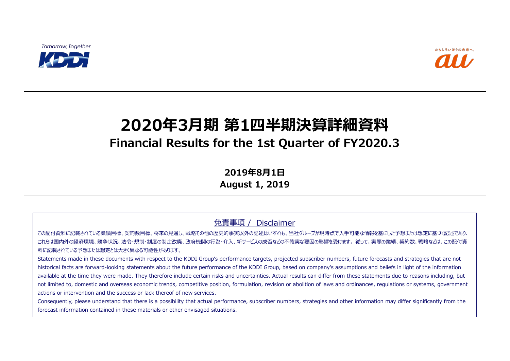**Tomorrow, Together** 



# **2020年3月期 第1四半期決算詳細資料 Financial Results for the 1st Quarter of FY2020.3**

**2019年8月1日**

**August 1, 2019**

免責事項 / Disclaimer

この配付資料に記載されている業績目標、契約数目標、将来の見通し、戦略その他の歴史的事実以外の記述はいずれも、当社グループが現時点で入手可能な情報を基にした予想または想定に基づく記述であり、 これらは国内外の経済環境、競争状況、法令・規制・制度の制定改廃、政府機関の行為・介入、新サービスの成否などの不確実な要因の影響を受けます。 従って、実際の業績、契約数、戦略などは、この配付資 料に記載されている予想または想定とは大きく異なる可能性があります。

Statements made in these documents with respect to the KDDI Group's performance targets, projected subscriber numbers, future forecasts and strategies that are not historical facts are forward-looking statements about the future performance of the KDDI Group, based on company's assumptions and beliefs in light of the information available at the time they were made. They therefore include certain risks and uncertainties. Actual results can differ from these statements due to reasons including, but not limited to, domestic and overseas economic trends, competitive position, formulation, revision or abolition of laws and ordinances, regulations or systems, government actions or intervention and the success or lack thereof of new services.

Consequently, please understand that there is a possibility that actual performance, subscriber numbers, strategies and other information may differ significantly from the forecast information contained in these materials or other envisaged situations.

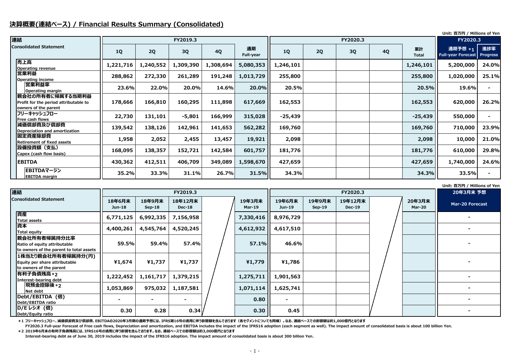## **決算概要(連結ベース) / Financial Results Summary (Consolidated)**

## **Unit: 百万円 / Millions of Yen**

FY2020.3 Full-year Forecast of Free cash flows, Depreciation and amortization, and EBITDA includes the impact of the IFRS16 adoption (each segment as well). The impact amount of consolidated basis is about 100 billion Yen. **\*2 2019年6月末の有利子負債残高には、IFRS16号の適用に伴う影響を含んでおります。なお、連結ベースでの影響額は約3,000億円となります**

### **Unit: 百万円 / Millions of Yen**

**\*1 フリーキャッシュフロー、減価償却費及び償却費、EBITDAの2020年3月期の通期予想には、IFRS第16号の適用に伴う影響額を含んでおります(各セグメントについても同様)。なお、連結ベースでの影響額は約1,000億円となります**

| 連結                                                                                |           |           | FY2019.3  |           |                        |           |    |    | FY2020.3  |                    |                                          |                 |
|-----------------------------------------------------------------------------------|-----------|-----------|-----------|-----------|------------------------|-----------|----|----|-----------|--------------------|------------------------------------------|-----------------|
| <b>Consolidated Statement</b>                                                     | <b>1Q</b> | 2Q        | 3Q        | <b>4Q</b> | 通期<br><b>Full-year</b> | 1Q        | 2Q | 3Q | <b>4Q</b> | 累計<br><b>Total</b> | 通期予想 *1 進捗率<br><b>Full-year Forecast</b> | <b>Progress</b> |
| 売上高<br><b>Operating revenue</b>                                                   | 1,221,716 | 1,240,552 | 1,309,390 | 1,308,694 | 5,080,353              | 1,246,101 |    |    |           | 1,246,101          | 5,200,000                                | 24.0%           |
| 営業利益<br><b>Operating income</b>                                                   | 288,862   | 272,330   | 261,289   | 191,248   | 1,013,729              | 255,800   |    |    |           | 255,800            | 1,020,000                                | 25.1%           |
| <b> 営業利益率</b><br><b>Operating margin</b>                                          | 23.6%     | 22.0%     | 20.0%     | 14.6%     | 20.0%                  | 20.5%     |    |    |           | 20.5%              | 19.6%                                    |                 |
| 親会社の所有者に帰属する当期利益<br>Profit for the period attributable to<br>owners of the parent | 178,666   | 166,810   | 160,295   | 111,898   | 617,669                | 162,553   |    |    |           | 162,553            | 620,000                                  | 26.2%           |
| フリーキャッシュフロー<br>Free cash flows                                                    | 22,730    | 131,101   | $-5,801$  | 166,999   | 315,028                | $-25,439$ |    |    |           | $-25,439$          | 550,000                                  |                 |
| 減価償却費及び償却費<br>Depreciation and amortization                                       | 139,542   | 138,126   | 142,961   | 141,653   | 562,282                | 169,760   |    |    |           | 169,760            | 710,000                                  | 23.9%           |
| 固定資産除却費<br><b>Retirement of fixed assets</b>                                      | 1,958     | 2,052     | 2,455     | 13,457    | 19,921                 | 2,098     |    |    |           | 2,098              | 10,000                                   | 21.0%           |
| 設備投資額(支払)<br>Capex (cash flow basis)                                              | 168,095   | 138,357   | 152,721   | 142,584   | 601,757                | 181,776   |    |    |           | 181,776            | 610,000                                  | 29.8%           |
| <b>EBITDA</b>                                                                     | 430,362   | 412,511   | 406,709   | 349,089   | 1,598,670              | 427,659   |    |    |           | 427,659            | 1,740,000                                | 24.6%           |
| EBITDAマージン<br><b>EBITDA margin</b>                                                | 35.2%     | 33.3%     | 31.1%     | 26.7%     | 31.5%                  | 34.3%     |    |    |           | 34.3%              | 33.5%                                    |                 |

**Interest-bearing debt as of June 30, 2019 includes the impact of the IFRS16 adoption. The impact amount of consolidated basis is about 300 billion Yen.**

| 連結                                                                                       |                         |                    | FY2019.3                 |                         |                  |                    |                          | 20年3月末 予想 |                         |                        |
|------------------------------------------------------------------------------------------|-------------------------|--------------------|--------------------------|-------------------------|------------------|--------------------|--------------------------|-----------|-------------------------|------------------------|
| <b>Consolidated Statement</b>                                                            | 18年6月末<br><b>Jun-18</b> | 18年9月末<br>$Sep-18$ | 18年12月末<br><b>Dec-18</b> | 19年3月末<br><b>Mar-19</b> | 19年6月末<br>Jun-19 | 19年9月末<br>$Sep-19$ | 19年12月末<br><b>Dec-19</b> |           | 20年3月末<br><b>Mar-20</b> | <b>Mar-20 Forecast</b> |
| 資産<br><b>Total assets</b>                                                                | 6,771,125               | 6,992,335          | 7,156,958                | 7,330,416               | 8,976,729        |                    |                          |           |                         |                        |
| 資本<br>Total equity                                                                       | 4,400,261               | 4,545,764          | 4,520,245                | 4,612,932               | 4,617,510        |                    |                          |           |                         |                        |
| 親会社所有者帰属持分比率 <br>Ratio of equity attributable<br>to owners of the parent to total assets | 59.5%                   | 59.4%              | 57.4%                    | 57.1%                   | 46.6%            |                    |                          |           |                         |                        |
| 1株当たり親会社所有者帰属持分(円)<br>Equity per share attributable<br>to owners of the parent           | ¥1,674                  | ¥1,737             | ¥1,737                   | ¥1,779                  | ¥1,786           |                    |                          |           |                         |                        |
| 有利子負債残高 *2<br>Interest-bearing debt                                                      | 1,222,452               | 1,161,717          | 1,379,215                | 1,275,711               | 1,901,563        |                    |                          |           |                         |                        |
| 現預金控除後 *2<br>Net debt                                                                    | 1,053,869               | 975,032            | 1,187,581                | 1,071,114               | 1,625,741        |                    |                          |           |                         |                        |
| Debt/EBITDA (倍)<br>Debt/EBITDA ratio                                                     |                         | $\sim$             | $\blacksquare$           | 0.80                    | $\blacksquare$   |                    |                          |           |                         |                        |
| D/E レシオ (倍)<br>Debt/Equity ratio                                                         | 0.30                    | 0.28               | 0.34                     | 0.30                    | 0.45             |                    |                          |           |                         |                        |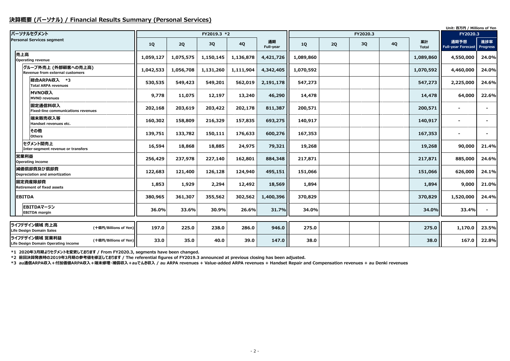## **決算概要 (パーソナル) / Financial Results Summary (Personal Services)**

|                                                                                |           |           |             |           |                 |           |    |          |           |                    | Unit: 百万円 / Millions of Yen       |                        |  |
|--------------------------------------------------------------------------------|-----------|-----------|-------------|-----------|-----------------|-----------|----|----------|-----------|--------------------|-----------------------------------|------------------------|--|
| パーソナルセグメント                                                                     |           |           | FY2019.3 *2 |           |                 |           |    | FY2020.3 |           |                    | FY2020.3                          |                        |  |
| <b>Personal Services segment</b>                                               | <b>1Q</b> | 2Q        | 3Q          | <b>4Q</b> | 通期<br>Full-year | <b>1Q</b> | 2Q | 3Q       | <b>4Q</b> | 累計<br><b>Total</b> | 通期予想<br><b>Full-year Forecast</b> | 進捗率<br><b>Progress</b> |  |
| 売上高<br>Operating revenue                                                       | 1,059,127 | 1,075,575 | 1,150,145   | 1,136,878 | 4,421,726       | 1,089,860 |    |          |           | 1,089,860          | 4,550,000                         | 24.0%                  |  |
| グループ外売上 (外部顧客への売上高)<br>Revenue from external customers                         | 1,042,533 | 1,056,708 | 1,131,260   | 1,111,904 | 4,342,405       | 1,070,592 |    |          |           | 1,070,592          | 4,460,000                         | 24.0%                  |  |
| 総合ARPA収入 *3<br><b>Total ARPA revenues</b>                                      | 530,535   | 549,423   | 549,201     | 562,019   | 2,191,178       | 547,273   |    |          |           | 547,273            | 2,225,000                         | 24.6%                  |  |
| MVNO収入<br><b>MVNO revenues</b>                                                 | 9,778     | 11,075    | 12,197      | 13,240    | 46,290          | 14,478    |    |          |           | 14,478             | 64,000                            | 22.6%                  |  |
| 固定通信料収入<br><b>Fixed-line communications revenues</b>                           | 202,168   | 203,619   | 203,422     | 202,178   | 811,387         | 200,571   |    |          |           | 200,571            |                                   |                        |  |
| 端末販売収入等<br>Handset revenues etc.                                               | 160,302   | 158,809   | 216,329     | 157,835   | 693,275         | 140,917   |    |          |           | 140,917            |                                   |                        |  |
| その他<br><b>Others</b>                                                           | 139,751   | 133,782   | 150,111     | 176,633   | 600,276         | 167,353   |    |          |           | 167,353            |                                   |                        |  |
| セグメント間売上<br>Inter-segment revenue or transfers                                 | 16,594    | 18,868    | 18,885      | 24,975    | 79,321          | 19,268    |    |          |           | 19,268             | 90,000                            | 21.4%                  |  |
| 営業利益<br><b>Operating income</b>                                                | 256,429   | 237,978   | 227,140     | 162,801   | 884,348         | 217,871   |    |          |           | 217,871            | 885,000                           | 24.6%                  |  |
| 減価償却費及び償却費<br>Depreciation and amortization                                    | 122,683   | 121,400   | 126,128     | 124,940   | 495,151         | 151,066   |    |          |           | 151,066            | 626,000                           | 24.1%                  |  |
| 固定資産除却費<br><b>Retirement of fixed assets</b>                                   | 1,853     | 1,929     | 2,294       | 12,492    | 18,569          | 1,894     |    |          |           | 1,894              | 9,000                             | 21.0%                  |  |
| <b>EBITDA</b>                                                                  | 380,965   | 361,307   | 355,562     | 302,562   | 1,400,396       | 370,829   |    |          |           | 370,829            | 1,520,000                         | 24.4%                  |  |
| EBITDAマージン<br><b>EBITDA</b> margin                                             | 36.0%     | 33.6%     | 30.9%       | 26.6%     | 31.7%           | 34.0%     |    |          |           | 34.0%              | 33.4%                             | $\blacksquare$         |  |
|                                                                                |           |           |             |           |                 |           |    |          |           |                    |                                   |                        |  |
| ライフデザイン領域 売上高<br>(十億円/Billions of Yen)<br><b>Life Design Domain Sales</b>      | 197.0     | 225.0     | 238.0       | 286.0     | 946.0           | 275.0     |    |          |           | 275.0              | 1,170.0                           | 23.5%                  |  |
| ライフデザイン領域 営業利益<br>(十億円/Billions of Yen)<br>Life Design Domain Operating income | 33.0      | 35.0      | 40.0        | 39.0      | 147.0           | 38.0      |    |          |           | 38.0               | 167.0                             | 22.8%                  |  |

**\*1 2020年3月期よりセグメントを変更しております / From FY2020.3, segments have been changed.**

**\*2 前回決算発表時の2019年3月期の参考値を修正しております / The referential figures of FY2019.3 announced at previous closing has been adjusted.**

**\*3 au通信ARPA収入+付加価値ARPA収入+端末修理・補償収入+auでんき収入 / au ARPA revenues + Value-added ARPA revenues + Handset Repair and Compensation revenues + au Denki revenues**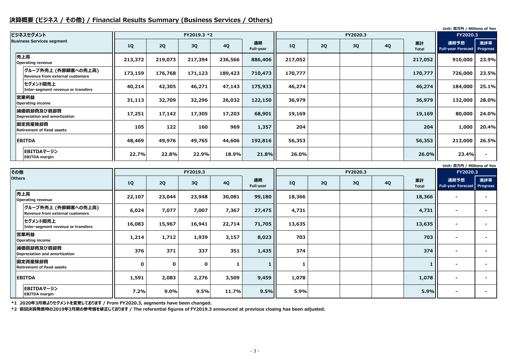## **決算概要 (ビジネス / その他) / Financial Results Summary (Business Services / Others)**

#### **Unit: 百万円 / Millions of Yen**

#### **Unit: 百万円 / Millions of Yen**

|                                                        |         |         |             |           |                 |         |    |          |           |                    | Unit: 白万円 / Millions of Yen       |                        |
|--------------------------------------------------------|---------|---------|-------------|-----------|-----------------|---------|----|----------|-----------|--------------------|-----------------------------------|------------------------|
| ビジネスセグメント                                              |         |         | FY2019.3 *2 |           |                 |         |    | FY2020.3 |           |                    | FY2020.3                          |                        |
| <b>Business Services segment</b>                       | 1Q      | 2Q      | 3Q          | <b>4Q</b> | 通期<br>Full-year | 1Q      | 2Q | 3Q       | <b>4Q</b> | 累計<br><b>Total</b> | 通期予想<br><b>Full-year Forecast</b> | 進捗率<br><b>Progress</b> |
| 売上高<br><b>Operating revenue</b>                        | 213,372 | 219,073 | 217,394     | 236,566   | 886,406         | 217,052 |    |          |           | 217,052            | 910,000                           | 23.9%                  |
| グループ外売上 (外部顧客への売上高)<br>Revenue from external customers | 173,159 | 176,768 | 171,123     | 189,423   | 710,473         | 170,777 |    |          |           | 170,777            | 726,000                           | 23.5%                  |
| セグメント間売上<br>Inter-segment revenue or transfers         | 40,214  | 42,305  | 46,271      | 47,143    | 175,933         | 46,274  |    |          |           | 46,274             | 184,000                           | 25.1%                  |
| 営業利益<br><b>Operating income</b>                        | 31,113  | 32,709  | 32,296      | 26,032    | 122,150         | 36,979  |    |          |           | 36,979             | 132,000                           | 28.0%                  |
| 減価償却費及び償却費<br>Depreciation and amortization            | 17,251  | 17,142  | 17,305      | 17,203    | 68,901          | 19,169  |    |          |           | 19,169             | 80,000                            | 24.0%                  |
| 固定資産除却費<br><b>Retirement of fixed assets</b>           | 105     | 122     | 160         | 969       | 1,357           | 204     |    |          |           | 204                | 1,000                             | 20.4%                  |
| <b>EBITDA</b>                                          | 48,469  | 49,976  | 49,765      | 44,606    | 192,816         | 56,353  |    |          |           | 56,353             | 213,000                           | 26.5%                  |
| EBITDAマージン<br><b>EBITDA margin</b>                     | 22.7%   | 22.8%   | 22.9%       | 18.9%     | 21.8%           | 26.0%   |    |          |           | 26.0%              | 23.4%                             |                        |

**\*1 2020年3月期よりセグメントを変更しております / From FY2020.3, segments have been changed.**

**\*2 前回決算発表時の2019年3月期の参考値を修正しております / The referential figures of FY2019.3 announced at previous closing has been adjusted.**

| その他                                                    |                                              |             |             | FY2019.3    |           |                 |        |    |    | FY2020.3  |                    |                                            |     |
|--------------------------------------------------------|----------------------------------------------|-------------|-------------|-------------|-----------|-----------------|--------|----|----|-----------|--------------------|--------------------------------------------|-----|
| <b>Others</b>                                          |                                              | 1Q          | 2Q          | 3Q          | <b>4Q</b> | 通期<br>Full-year | 1Q     | 2Q | 3Q | <b>4Q</b> | 累計<br><b>Total</b> | 通期予想<br><b>Full-year Forecast Progress</b> | 進捗率 |
|                                                        | 売上高<br><b>Operating revenue</b>              | 22,107      | 23,044      | 23,948      | 30,081    | 99,180          | 18,366 |    |    |           | 18,366             | $\blacksquare$                             |     |
| グループ外売上 (外部顧客への売上高)<br>Revenue from external customers |                                              | 6,024       | 7,077       | 7,007       | 7,367     | 27,475          | 4,731  |    |    |           | 4,731              | $\blacksquare$                             |     |
| セグメント間売上<br>Inter-segment revenue or transfers         |                                              | 16,083      | 15,967      | 16,941      | 22,714    | 71,705          | 13,635 |    |    | 13,635    |                    |                                            |     |
| 営業利益<br><b>Operating income</b>                        |                                              | 1,214       | 1,712       | 1,939       | 3,157     | 8,023           | 703    |    |    |           | 703                |                                            |     |
|                                                        | 減価償却費及び償却費<br>Depreciation and amortization  | 376         | 371         | 337         | 351       | 1,435           | 374    |    |    |           | 374                | $\overline{\phantom{0}}$                   |     |
|                                                        | 固定資産除却費<br><b>Retirement of fixed assets</b> | $\mathbf 0$ | $\mathbf 0$ | $\mathbf 0$ |           |                 |        |    |    |           |                    |                                            |     |
| <b>EBITDA</b>                                          |                                              | 1,591       | 2,083       | 2,276       | 3,509     | 9,459           | 1,078  |    |    |           | 1,078              | $\blacksquare$                             |     |
| EBITDAマージン<br><b>EBITDA</b> margin                     |                                              | 7.2%        | 9.0%        | 9.5%        | 11.7%     | 9.5%            | 5.9%   |    |    |           | 5.9%               | $\blacksquare$                             |     |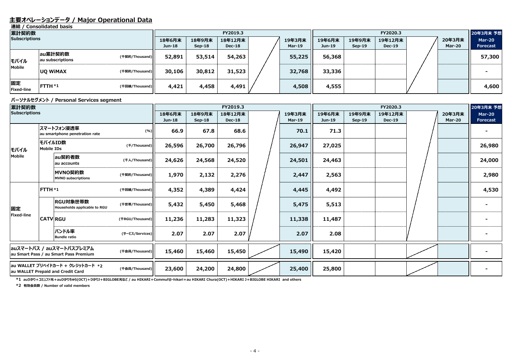## **主要オペレーションデータ / Major Operational Data**

**連結 / Consolidated basis**

#### **パーソナルセグメント / Personal Services segment**

| 累計契約数                |                             |                |                         | FY2019.3           |                          | FY2020.3         |                    |                    |                          |  | 20年3月末 予想        |                                  |
|----------------------|-----------------------------|----------------|-------------------------|--------------------|--------------------------|------------------|--------------------|--------------------|--------------------------|--|------------------|----------------------------------|
| <b>Subscriptions</b> |                             |                | 18年6月末<br><b>Jun-18</b> | 18年9月末<br>$Sep-18$ | 18年12月末<br><b>Dec-18</b> | 19年3月末<br>Mar-19 | 19年6月末<br>$Jun-19$ | 19年9月末<br>$Sep-19$ | 19年12月末<br><b>Dec-19</b> |  | 20年3月末<br>Mar-20 | <b>Mar-20</b><br><b>Forecast</b> |
| モバイル                 | au累計契約数<br>au subscriptions | (千契約/Thousand) | 52,891                  | 53,514             | 54,263                   | 55,225           | 56,368             |                    |                          |  |                  | 57,300                           |
| Mobile               | <b>UQ WIMAX</b>             | (千契約/Thousand) | 30,106                  | 30,812             | 31,523                   | 32,768           | 33,336             |                    |                          |  |                  |                                  |
| 固定<br>Fixed-line     | FTTH *1                     | (千回線/Thousand) | 4,421                   | 4,458              | 4,491                    | 4,508            | 4,555              |                    |                          |  |                  | 4,600                            |

**\*1 auひかり+コミュファ光+auひかりちゅら(OCT)+ひかりJ+BIGLOBE光など / au HIKARI+Commuf@-hikari+au HIKARI Chura(OCT)+HIKARI J+BIGLOBE HIKARI and others**

**\*2 有効会員数 / Number of valid members**

| 累計契約数                                                                                    |                                              |                                          |                 |                         |                    | FY2019.3                 |        |                         | FY2020.3         |                    |                          |  |                         | 20年3月末 予想                        |  |
|------------------------------------------------------------------------------------------|----------------------------------------------|------------------------------------------|-----------------|-------------------------|--------------------|--------------------------|--------|-------------------------|------------------|--------------------|--------------------------|--|-------------------------|----------------------------------|--|
| <b>Subscriptions</b>                                                                     |                                              |                                          |                 | 18年6月末<br><b>Jun-18</b> | 18年9月末<br>$Sep-18$ | 18年12月末<br><b>Dec-18</b> |        | 19年3月末<br><b>Mar-19</b> | 19年6月末<br>Jun-19 | 19年9月末<br>$Sep-19$ | 19年12月末<br><b>Dec-19</b> |  | 20年3月末<br><b>Mar-20</b> | <b>Mar-20</b><br><b>Forecast</b> |  |
|                                                                                          | スマートフォン浸透率<br>au smartphone penetration rate |                                          | (%)             | 66.9                    | 67.8               | 68.6                     |        | 70.1                    | 71.3             |                    |                          |  |                         |                                  |  |
| モバイル                                                                                     | <b>Mobile IDs</b>                            | モバイルID数                                  | (f/Thousand)    | 26,596                  | 26,700             | 26,796                   |        | 26,947                  | 27,025           |                    |                          |  |                         | 26,980                           |  |
| Mobile                                                                                   |                                              | au契約者数<br>lau accounts                   | (千人/Thousand)   | 24,626                  | 24,568             | 24,520                   |        | 24,501                  | 24,463           |                    |                          |  |                         | 24,000                           |  |
|                                                                                          |                                              | MVNO契約数<br><b>MVNO</b> subscriptions     | (千契約/Thousand)  | 1,970                   | 2,132              | 2,276                    |        | 2,447                   | 2,563            |                    |                          |  |                         | 2,980                            |  |
| FTTH *1                                                                                  |                                              |                                          | (千回線/Thousand)  | 4,352                   | 4,389              | 4,424                    |        | 4,445                   | 4,492            |                    |                          |  |                         | 4,530                            |  |
| 固定                                                                                       |                                              | RGU対象世帯数<br>Households applicable to RGU | (千世帯/Thousand)  | 5,432                   | 5,450              | 5,468                    |        | 5,475                   | 5,513            |                    |                          |  |                         |                                  |  |
| <b>Fixed-line</b>                                                                        |                                              | <b>CATV RGU</b>                          | (千RGU/Thousand) | 11,236                  | 11,283             | 11,323                   |        |                         | 11,338           | 11,487             |                          |  |                         |                                  |  |
|                                                                                          |                                              | バンドル率<br><b>Bundle ratio</b>             | (サービス/Services) | 2.07                    | 2.07               | 2.07                     |        | 2.07                    | 2.08             |                    |                          |  |                         |                                  |  |
| auスマートパス / auスマートパスプレミアム<br>(千会員/Thousand)<br>au Smart Pass / au Smart Pass Premium      |                                              | 15,460                                   | 15,460          | 15,450                  |                    | 15,490                   | 15,420 |                         |                  |                    |                          |  |                         |                                  |  |
| lau WALLET プリペイドカード + クレジットカード *2<br>(千会員/Thousand)<br>au WALLET Prepaid and Credit Card |                                              | 23,600                                   | 24,200          | 24,800                  |                    | 25,400                   | 25,800 |                         |                  |                    |                          |  |                         |                                  |  |

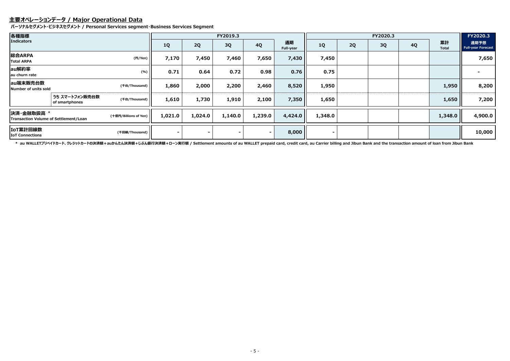## **主要オペレーションデータ / Major Operational Data**

**パーソナルセグメント・ビジネスセグメント / Personal Services segment・Business Services Segment**

| 各種指標                                                |                                  |                       |         |         | FY2019.3  |                        |         |         |    | FY2020.3  |                    |                                   | FY2020.3 |
|-----------------------------------------------------|----------------------------------|-----------------------|---------|---------|-----------|------------------------|---------|---------|----|-----------|--------------------|-----------------------------------|----------|
| <b>Indicators</b>                                   |                                  | <b>1Q</b>             | 2Q      | 3Q      | <b>4Q</b> | 通期<br><b>Full-year</b> | 1Q      | 2Q      | 3Q | <b>4Q</b> | 累計<br><b>Total</b> | 通期予想<br><b>Full-year Forecast</b> |          |
| 総合ARPA<br><b>Total ARPA</b>                         |                                  | (円/Yen) $\vert$       | 7,170   | 7,450   | 7,460     | 7,650                  | 7,430   | 7,450   |    |           |                    |                                   | 7,650    |
| au解約率<br>au churn rate                              |                                  | (% )                  | 0.71    | 0.64    | 0.72      | 0.98                   | 0.76    | 0.75    |    |           |                    |                                   |          |
| au端末販売台数<br>Number of units sold                    |                                  | (千台/Thousand)         | 1,860   | 2,000   | 2,200     | 2,460                  | 8,520   | 1,950   |    |           |                    | 1,950                             | 8,200    |
|                                                     | うち スマートフォン販売台数<br>of smartphones | (千台/Thousand)         | 1,610   | 1,730   | 1,910     | 2,100                  | 7,350   | 1,650   |    |           |                    | 1,650                             | 7,200    |
| 决済·金融取扱高 *<br>Transaction Volume of Settlement/Loan |                                  | (十億円/Billions of Yen) | 1,021.0 | 1,024.0 | 1,140.0   | 1,239.0                | 4,424.0 | 1,348.0 |    |           |                    | 1,348.0                           | 4,900.0  |
| IoT累計回線数<br><b>IoT Connections</b>                  |                                  | (千回線/Thousand)        |         |         |           |                        | 8,000   |         |    |           |                    |                                   | 10,000   |

\* au WALLETプリペイドカード、クレジットカードの決済額+auかんたん決済額+じぶん銀行決済額+ローン実行額 / Settlement amounts of au WALLET prepaid card, credit card, au Carrier billing and Jibun Bank and the transaction amount of loan from Jibun Bank